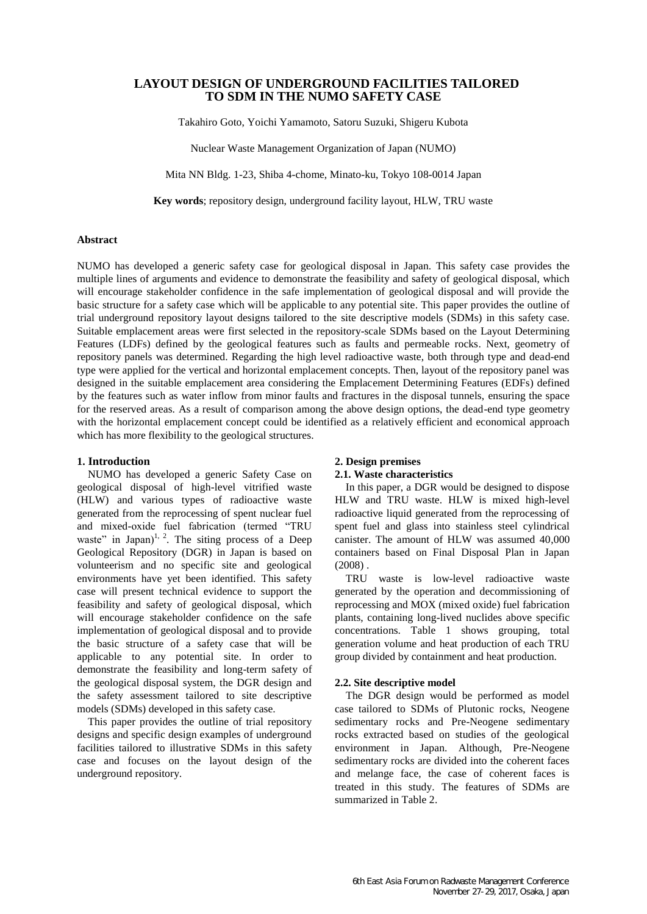# **LAYOUT DESIGN OF UNDERGROUND FACILITIES TAILORED TO SDM IN THE NUMO SAFETY CASE**

Takahiro Goto, Yoichi Yamamoto, Satoru Suzuki, Shigeru Kubota

Nuclear Waste Management Organization of Japan (NUMO)

Mita NN Bldg. 1-23, Shiba 4-chome, Minato-ku, Tokyo 108-0014 Japan

**Key words**; repository design, underground facility layout, HLW, TRU waste

## **Abstract**

NUMO has developed a generic safety case for geological disposal in Japan. This safety case provides the multiple lines of arguments and evidence to demonstrate the feasibility and safety of geological disposal, which will encourage stakeholder confidence in the safe implementation of geological disposal and will provide the basic structure for a safety case which will be applicable to any potential site. This paper provides the outline of trial underground repository layout designs tailored to the site descriptive models (SDMs) in this safety case. Suitable emplacement areas were first selected in the repository-scale SDMs based on the Layout Determining Features (LDFs) defined by the geological features such as faults and permeable rocks. Next, geometry of repository panels was determined. Regarding the high level radioactive waste, both through type and dead-end type were applied for the vertical and horizontal emplacement concepts. Then, layout of the repository panel was designed in the suitable emplacement area considering the Emplacement Determining Features (EDFs) defined by the features such as water inflow from minor faults and fractures in the disposal tunnels, ensuring the space for the reserved areas. As a result of comparison among the above design options, the dead-end type geometry with the horizontal emplacement concept could be identified as a relatively efficient and economical approach which has more flexibility to the geological structures.

## **1. Introduction**

NUMO has developed a generic Safety Case on geological disposal of high-level vitrified waste (HLW) and various types of radioactive waste generated from the reprocessing of spent nuclear fuel and mixed-oxide fuel fabrication (termed "TRU waste" in Japan)<sup>1, 2</sup>. The siting process of a Deep Geological Repository (DGR) in Japan is based on volunteerism and no specific site and geological environments have yet been identified. This safety case will present technical evidence to support the feasibility and safety of geological disposal, which will encourage stakeholder confidence on the safe implementation of geological disposal and to provide the basic structure of a safety case that will be applicable to any potential site. In order to demonstrate the feasibility and long-term safety of the geological disposal system, the DGR design and the safety assessment tailored to site descriptive models (SDMs) developed in this safety case.

This paper provides the outline of trial repository designs and specific design examples of underground facilities tailored to illustrative SDMs in this safety case and focuses on the layout design of the underground repository.

# **2. Design premises**

# **2.1. Waste characteristics**

In this paper, a DGR would be designed to dispose HLW and TRU waste. HLW is mixed high-level radioactive liquid generated from the reprocessing of spent fuel and glass into stainless steel cylindrical canister. The amount of HLW was assumed 40,000 containers based on Final Disposal Plan in Japan  $(2008)$ .

TRU waste is low-level radioactive waste generated by the operation and decommissioning of reprocessing and MOX (mixed oxide) fuel fabrication plants, containing long-lived nuclides above specific concentrations. Table 1 shows grouping, total generation volume and heat production of each TRU group divided by containment and heat production.

### **2.2. Site descriptive model**

 The DGR design would be performed as model case tailored to SDMs of Plutonic rocks, Neogene sedimentary rocks and Pre-Neogene sedimentary rocks extracted based on studies of the geological environment in Japan. Although, Pre-Neogene sedimentary rocks are divided into the coherent faces and melange face, the case of coherent faces is treated in this study. The features of SDMs are summarized in Table 2.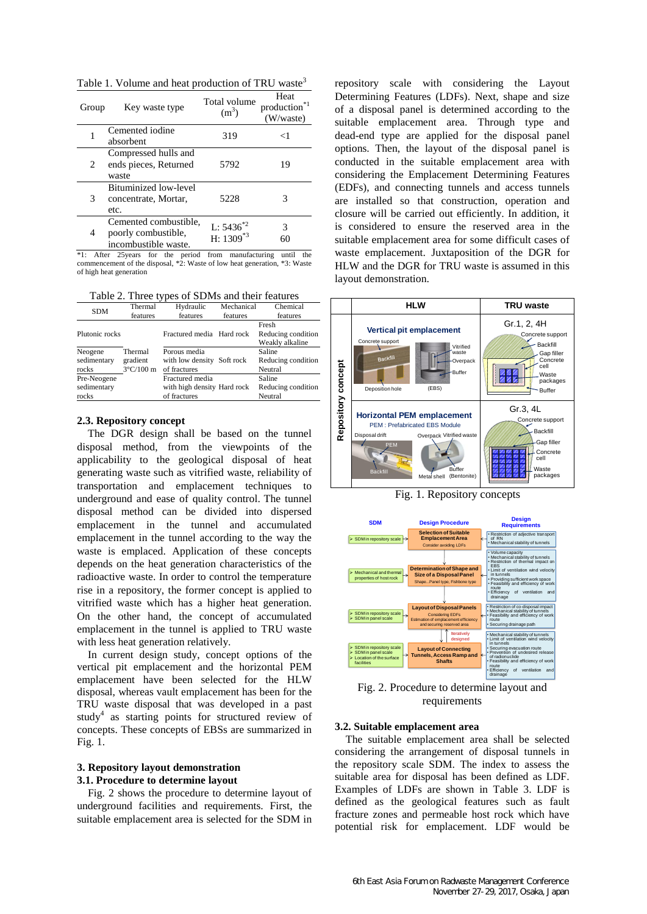Table 1. Volume and heat production of TRU waste<sup>3</sup>

| Group                         | Key waste type                                                       | Total volume<br>(m <sup>3</sup> ) | Heat<br>*1<br>production <sup>®</sup><br>(W/waste) |
|-------------------------------|----------------------------------------------------------------------|-----------------------------------|----------------------------------------------------|
|                               | Cemented iodine<br>absorbent                                         | 319                               | ←1                                                 |
| $\mathfrak{D}_{\mathfrak{p}}$ | Compressed hulls and<br>ends pieces, Returned<br>waste               | 5792                              | 19                                                 |
| 3                             | <b>Bituminized low-level</b><br>concentrate, Mortar,<br>etc.         | 5228                              | 3                                                  |
| 4                             | Cemented combustible,<br>poorly combustible,<br>incombustible waste. | L: $5436^{*2}$<br>H: $1309^{*3}$  | 3                                                  |

\*1: After 25years for the period from manufacturing until the commencement of the disposal, \*2: Waste of low heat generation, \*3: Waste of high heat generation

Table 2. Three types of SDMs and their features

| <b>SDM</b>                          | Thermal                                    | Hydraulic                                                      | Mechanical | Chemical                                       |
|-------------------------------------|--------------------------------------------|----------------------------------------------------------------|------------|------------------------------------------------|
|                                     | features                                   | features                                                       | features   | features                                       |
| Plutonic rocks                      |                                            | Fractured media Hard rock                                      |            | Fresh<br>Reducing condition<br>Weakly alkaline |
| Neogene<br>sedimentary<br>rocks     | Thermal<br>gradient<br>$3^{\circ}$ C/100 m | Porous media<br>with low density Soft rock<br>of fractures     |            | Saline<br>Reducing condition<br>Neutral        |
| Pre-Neogene<br>sedimentary<br>rocks |                                            | Fractured media<br>with high density Hard rock<br>of fractures |            | Saline<br>Reducing condition<br>Neutral        |

## **2.3. Repository concept**

The DGR design shall be based on the tunnel disposal method, from the viewpoints of the applicability to the geological disposal of heat generating waste such as vitrified waste, reliability of transportation and emplacement techniques to underground and ease of quality control. The tunnel disposal method can be divided into dispersed emplacement in the tunnel and accumulated emplacement in the tunnel according to the way the waste is emplaced. Application of these concepts depends on the heat generation characteristics of the radioactive waste. In order to control the temperature rise in a repository, the former concept is applied to vitrified waste which has a higher heat generation. On the other hand, the concept of accumulated emplacement in the tunnel is applied to TRU waste with less heat generation relatively.

In current design study, concept options of the vertical pit emplacement and the horizontal PEM emplacement have been selected for the HLW disposal, whereas vault emplacement has been for the TRU waste disposal that was developed in a past study<sup>4</sup> as starting points for structured review of concepts. These concepts of EBSs are summarized in Fig. 1.

### **3. Repository layout demonstration 3.1. Procedure to determine layout**

Fig. 2 shows the procedure to determine layout of underground facilities and requirements. First, the suitable emplacement area is selected for the SDM in repository scale with considering the Layout Determining Features (LDFs). Next, shape and size of a disposal panel is determined according to the suitable emplacement area. Through type and dead-end type are applied for the disposal panel options. Then, the layout of the disposal panel is conducted in the suitable emplacement area with considering the Emplacement Determining Features (EDFs), and connecting tunnels and access tunnels are installed so that construction, operation and closure will be carried out efficiently. In addition, it is considered to ensure the reserved area in the suitable emplacement area for some difficult cases of waste emplacement. Juxtaposition of the DGR for HLW and the DGR for TRU waste is assumed in this layout demonstration.



Fig. 1. Repository concepts



Fig. 2. Procedure to determine layout and requirements

## **3.2. Suitable emplacement area**

The suitable emplacement area shall be selected considering the arrangement of disposal tunnels in the repository scale SDM. The index to assess the suitable area for disposal has been defined as LDF. Examples of LDFs are shown in Table 3. LDF is defined as the geological features such as fault fracture zones and permeable host rock which have potential risk for emplacement. LDF would be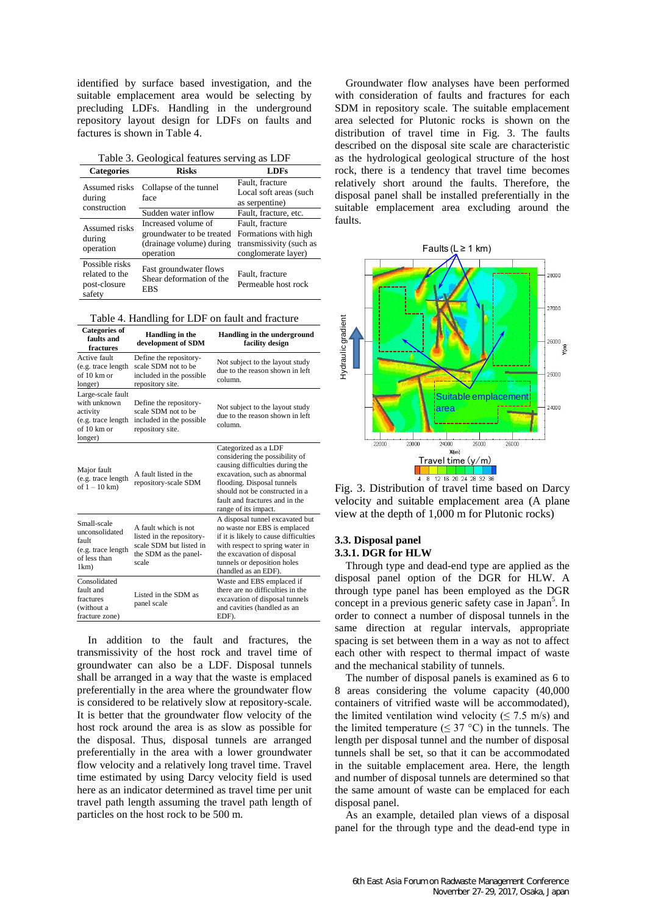identified by surface based investigation, and the suitable emplacement area would be selecting by precluding LDFs. Handling in the underground repository layout design for LDFs on faults and factures is shown in Table 4.

|  | Table 3. Geological features serving as LDF |  |  |  |
|--|---------------------------------------------|--|--|--|
|--|---------------------------------------------|--|--|--|

| <b>Categories</b>                                          | <b>Risks</b>                                                                              | <b>LDFs</b>                                                                               |
|------------------------------------------------------------|-------------------------------------------------------------------------------------------|-------------------------------------------------------------------------------------------|
| Assumed risks<br>during<br>construction                    | Collapse of the tunnel<br>face                                                            | Fault, fracture<br>Local soft areas (such<br>as serpentine)                               |
|                                                            | Sudden water inflow                                                                       | Fault, fracture, etc.                                                                     |
| Assumed risks<br>during<br>operation                       | Increased volume of<br>groundwater to be treated<br>(drainage volume) during<br>operation | Fault, fracture<br>Formations with high<br>transmissivity (such as<br>conglomerate layer) |
| Possible risks<br>related to the<br>post-closure<br>safety | Fast groundwater flows<br>Shear deformation of the<br><b>EBS</b>                          | Fault, fracture<br>Permeable host rock                                                    |

Table 4. Handling for LDF on fault and fracture

| <b>Categories of</b><br>faults and<br>fractures                                               | Handling in the<br>development of SDM                                                                          | Handling in the underground<br>facility design                                                                                                                                                                                                      |
|-----------------------------------------------------------------------------------------------|----------------------------------------------------------------------------------------------------------------|-----------------------------------------------------------------------------------------------------------------------------------------------------------------------------------------------------------------------------------------------------|
| Active fault<br>(e.g. trace length<br>of $10 \text{ km or}$<br>longer)                        | Define the repository-<br>scale SDM not to be<br>included in the possible<br>repository site.                  | Not subject to the layout study<br>due to the reason shown in left<br>column.                                                                                                                                                                       |
| Large-scale fault<br>with unknown<br>activity<br>(e.g. trace length<br>of 10 km or<br>longer) | Define the repository-<br>scale SDM not to be<br>included in the possible<br>repository site.                  | Not subject to the layout study<br>due to the reason shown in left<br>column-                                                                                                                                                                       |
| Major fault<br>(e.g. trace length<br>of $1 - 10$ km)                                          | A fault listed in the<br>repository-scale SDM                                                                  | Categorized as a LDF<br>considering the possibility of<br>causing difficulties during the<br>excavation, such as abnormal<br>flooding. Disposal tunnels<br>should not be constructed in a<br>fault and fractures and in the<br>range of its impact. |
| Small-scale<br>unconsolidated<br>fault<br>(e.g. trace length<br>of less than<br>$1km$ )       | A fault which is not<br>listed in the repository-<br>scale SDM but listed in<br>the SDM as the panel-<br>scale | A disposal tunnel excavated but<br>no waste nor EBS is emplaced<br>if it is likely to cause difficulties<br>with respect to spring water in<br>the excavation of disposal<br>tunnels or deposition holes<br>(handled as an EDF).                    |
| Consolidated<br>fault and<br>fractures<br>(without a<br>fracture zone)                        | Listed in the SDM as<br>panel scale                                                                            | Waste and EBS emplaced if<br>there are no difficulties in the<br>excavation of disposal tunnels<br>and cavities (handled as an<br>EDF).                                                                                                             |

In addition to the fault and fractures, the transmissivity of the host rock and travel time of groundwater can also be a LDF. Disposal tunnels shall be arranged in a way that the waste is emplaced preferentially in the area where the groundwater flow is considered to be relatively slow at repository-scale. It is better that the groundwater flow velocity of the host rock around the area is as slow as possible for the disposal. Thus, disposal tunnels are arranged preferentially in the area with a lower groundwater flow velocity and a relatively long travel time. Travel time estimated by using Darcy velocity field is used here as an indicator determined as travel time per unit travel path length assuming the travel path length of particles on the host rock to be 500 m.

Groundwater flow analyses have been performed with consideration of faults and fractures for each SDM in repository scale. The suitable emplacement area selected for Plutonic rocks is shown on the distribution of travel time in Fig. 3. The faults described on the disposal site scale are characteristic as the hydrological geological structure of the host rock, there is a tendency that travel time becomes relatively short around the faults. Therefore, the disposal panel shall be installed preferentially in the suitable emplacement area excluding around the faults.



velocity and suitable emplacement area (A plane view at the depth of 1,000 m for Plutonic rocks)

# **3.3. Disposal panel 3.3.1. DGR for HLW**

Through type and dead-end type are applied as the disposal panel option of the DGR for HLW. A through type panel has been employed as the DGR concept in a previous generic safety case in Japan<sup>5</sup>. In order to connect a number of disposal tunnels in the same direction at regular intervals, appropriate spacing is set between them in a way as not to affect each other with respect to thermal impact of waste and the mechanical stability of tunnels.

The number of disposal panels is examined as 6 to 8 areas considering the volume capacity (40,000 containers of vitrified waste will be accommodated), the limited ventilation wind velocity ( $\leq$  7.5 m/s) and the limited temperature ( $\leq$  37 °C) in the tunnels. The length per disposal tunnel and the number of disposal tunnels shall be set, so that it can be accommodated in the suitable emplacement area. Here, the length and number of disposal tunnels are determined so that the same amount of waste can be emplaced for each disposal panel.

As an example, detailed plan views of a disposal panel for the through type and the dead-end type in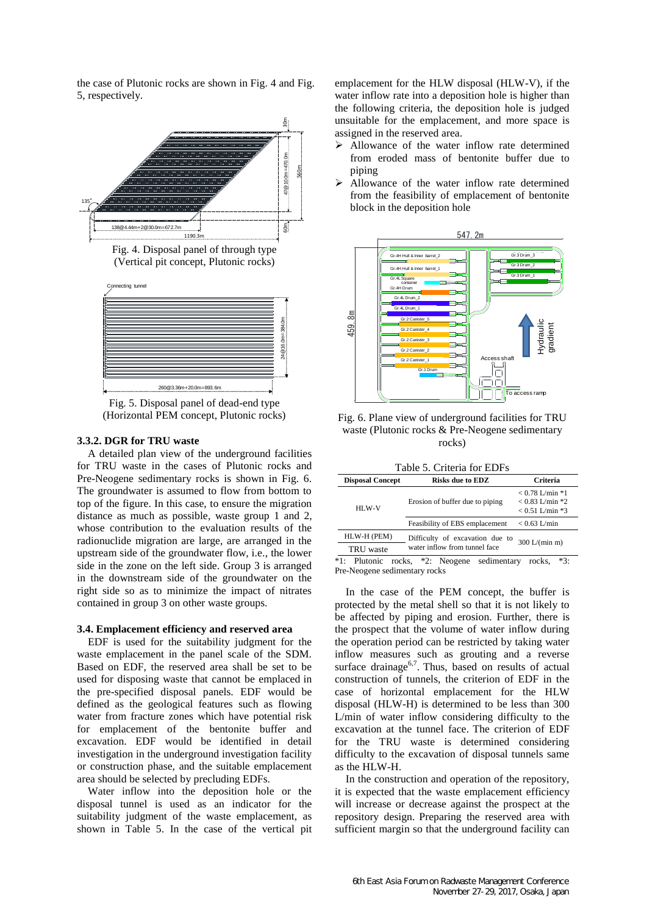the case of Plutonic rocks are shown in Fig. 4 and Fig. 5, respectively.







Fig. 5. Disposal panel of dead-end type (Horizontal PEM concept, Plutonic rocks)

260@3.36m+20.0m=893.6m

## **3.3.2. DGR for TRU waste**

A detailed plan view of the underground facilities for TRU waste in the cases of Plutonic rocks and Pre-Neogene sedimentary rocks is shown in Fig. 6. The groundwater is assumed to flow from bottom to top of the figure. In this case, to ensure the migration distance as much as possible, waste group 1 and 2, whose contribution to the evaluation results of the radionuclide migration are large, are arranged in the upstream side of the groundwater flow, i.e., the lower side in the zone on the left side. Group 3 is arranged in the downstream side of the groundwater on the right side so as to minimize the impact of nitrates contained in group 3 on other waste groups.

### **3.4. Emplacement efficiency and reserved area**

EDF is used for the suitability judgment for the waste emplacement in the panel scale of the SDM. Based on EDF, the reserved area shall be set to be used for disposing waste that cannot be emplaced in the pre-specified disposal panels. EDF would be defined as the geological features such as flowing water from fracture zones which have potential risk for emplacement of the bentonite buffer and excavation. EDF would be identified in detail investigation in the underground investigation facility or construction phase, and the suitable emplacement area should be selected by precluding EDFs.

Water inflow into the deposition hole or the disposal tunnel is used as an indicator for the suitability judgment of the waste emplacement, as shown in Table 5. In the case of the vertical pit emplacement for the HLW disposal (HLW-V), if the water inflow rate into a deposition hole is higher than the following criteria, the deposition hole is judged unsuitable for the emplacement, and more space is assigned in the reserved area.

- Allowance of the water inflow rate determined from eroded mass of bentonite buffer due to piping
- $\triangleright$  Allowance of the water inflow rate determined from the feasibility of emplacement of bentonite block in the deposition hole



Fig. 6. Plane view of underground facilities for TRU waste (Plutonic rocks & Pre-Neogene sedimentary rocks)

Table 5. Criteria for EDFs

| <b>Disposal Concept</b>     | <b>Risks due to EDZ</b>         | <b>Criteria</b>                                                   |
|-----------------------------|---------------------------------|-------------------------------------------------------------------|
| HLW-V                       | Erosion of buffer due to piping | $< 0.78$ L/min $*1$<br>$< 0.83$ L/min $*2$<br>$< 0.51$ L/min $*3$ |
|                             | Feasibility of EBS emplacement  | $< 0.63$ L/min                                                    |
| HLW-H (PEM)                 | Difficulty of excavation due to | 300 L/(min m)                                                     |
| TRU waste                   | water inflow from tunnel face   |                                                                   |
| $*1.$<br>Plutonic<br>rocks, | $*2$ : Neogene<br>sedimentary   | $*3:$<br>rocks,                                                   |

Pre-Neogene sedimentary rocks

In the case of the PEM concept, the buffer is protected by the metal shell so that it is not likely to be affected by piping and erosion. Further, there is the prospect that the volume of water inflow during the operation period can be restricted by taking water inflow measures such as grouting and a reverse surface drainage<sup>6,7</sup>. Thus, based on results of actual construction of tunnels, the criterion of EDF in the case of horizontal emplacement for the HLW disposal (HLW-H) is determined to be less than 300 L/min of water inflow considering difficulty to the excavation at the tunnel face. The criterion of EDF for the TRU waste is determined considering difficulty to the excavation of disposal tunnels same as the HLW-H.

In the construction and operation of the repository, it is expected that the waste emplacement efficiency will increase or decrease against the prospect at the repository design. Preparing the reserved area with sufficient margin so that the underground facility can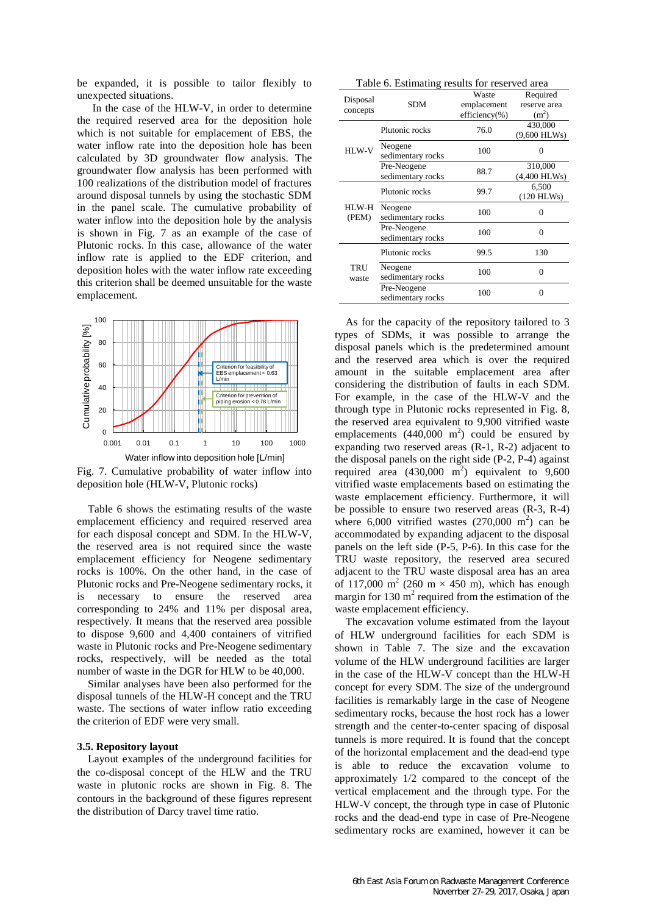be expanded, it is possible to tailor flexibly to unexpected situations.

In the case of the HLW-V, in order to determine the required reserved area for the deposition hole which is not suitable for emplacement of EBS, the water inflow rate into the deposition hole has been calculated by 3D groundwater flow analysis. The groundwater flow analysis has been performed with 100 realizations of the distribution model of fractures around disposal tunnels by using the stochastic SDM in the panel scale. The cumulative probability of water inflow into the deposition hole by the analysis is shown in Fig. 7 as an example of the case of Plutonic rocks. In this case, allowance of the water inflow rate is applied to the EDF criterion, and deposition holes with the water inflow rate exceeding this criterion shall be deemed unsuitable for the waste emplacement.



Fig. 7. Cumulative probability of water inflow into deposition hole (HLW-V, Plutonic rocks)

Table 6 shows the estimating results of the waste emplacement efficiency and required reserved area for each disposal concept and SDM. In the HLW-V, the reserved area is not required since the waste emplacement efficiency for Neogene sedimentary rocks is 100%. On the other hand, in the case of Plutonic rocks and Pre-Neogene sedimentary rocks, it is necessary to ensure the reserved area corresponding to 24% and 11% per disposal area, respectively. It means that the reserved area possible to dispose 9,600 and 4,400 containers of vitrified waste in Plutonic rocks and Pre-Neogene sedimentary rocks, respectively, will be needed as the total number of waste in the DGR for HLW to be 40,000.

Similar analyses have been also performed for the disposal tunnels of the HLW-H concept and the TRU waste. The sections of water inflow ratio exceeding the criterion of EDF were very small.

### **3.5. Repository layout**

Layout examples of the underground facilities for the co-disposal concept of the HLW and the TRU waste in plutonic rocks are shown in Fig. 8. The contours in the background of these figures represent the distribution of Darcy travel time ratio.

|                      | o                 |               |                   |
|----------------------|-------------------|---------------|-------------------|
| Disposal<br>concepts | <b>SDM</b>        | Waste         | Required          |
|                      |                   | emplacement   | reserve area      |
|                      |                   | efficiency(%) | (m <sup>2</sup> ) |
|                      | Plutonic rocks    | 76.0          | 430,000           |
|                      |                   |               | $(9,600$ HLWs)    |
| HLW-V                | Neogene           | 100           |                   |
|                      | sedimentary rocks |               |                   |
|                      | Pre-Neogene       | 88.7          | 310,000           |
|                      | sedimentary rocks |               | $(4,400$ HLWs)    |
| HLW-H<br>(PEM)       | Plutonic rocks    | 99.7          | 6,500             |
|                      |                   |               | $(120$ HLWs)      |
|                      | Neogene           | 100           | 0                 |
|                      | sedimentary rocks |               |                   |
|                      | Pre-Neogene       | 100           | 0                 |
|                      | sedimentary rocks |               |                   |
|                      | Plutonic rocks    | 99.5          | 130               |
|                      |                   |               |                   |

100 0

100 0

**TRU** waste Neogene sedimentary rocks

Pre-Neogene sedimentary rocks

Table 6. Estimating results for reserved area

As for the capacity of the repository tailored to 3 types of SDMs, it was possible to arrange the disposal panels which is the predetermined amount and the reserved area which is over the required amount in the suitable emplacement area after considering the distribution of faults in each SDM. For example, in the case of the HLW-V and the through type in Plutonic rocks represented in Fig. 8, the reserved area equivalent to 9,900 vitrified waste emplacements  $(440,000 \text{ m}^2)$  could be ensured by expanding two reserved areas (R-1, R-2) adjacent to the disposal panels on the right side (P-2, P-4) against required area  $(430,000 \text{ m}^2)$  equivalent to 9,600 vitrified waste emplacements based on estimating the waste emplacement efficiency. Furthermore, it will be possible to ensure two reserved areas (R-3, R-4) where  $6,000$  vitrified wastes  $(270,000 \text{ m}^2)$  can be accommodated by expanding adjacent to the disposal panels on the left side (P-5, P-6). In this case for the TRU waste repository, the reserved area secured adjacent to the TRU waste disposal area has an area of 117,000 m<sup>2</sup> (260 m  $\times$  450 m), which has enough margin for  $130 \text{ m}^2$  required from the estimation of the waste emplacement efficiency.

The excavation volume estimated from the layout of HLW underground facilities for each SDM is shown in Table 7. The size and the excavation volume of the HLW underground facilities are larger in the case of the HLW-V concept than the HLW-H concept for every SDM. The size of the underground facilities is remarkably large in the case of Neogene sedimentary rocks, because the host rock has a lower strength and the center-to-center spacing of disposal tunnels is more required. It is found that the concept of the horizontal emplacement and the dead-end type is able to reduce the excavation volume to approximately 1/2 compared to the concept of the vertical emplacement and the through type. For the HLW-V concept, the through type in case of Plutonic rocks and the dead-end type in case of Pre-Neogene sedimentary rocks are examined, however it can be